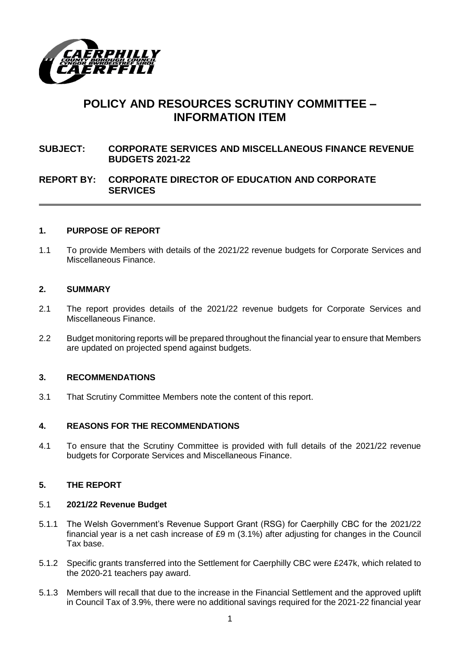

# **POLICY AND RESOURCES SCRUTINY COMMITTEE – INFORMATION ITEM**

**SUBJECT: CORPORATE SERVICES AND MISCELLANEOUS FINANCE REVENUE BUDGETS 2021-22**

# **REPORT BY: CORPORATE DIRECTOR OF EDUCATION AND CORPORATE SERVICES**

#### **1. PURPOSE OF REPORT**

1.1 To provide Members with details of the 2021/22 revenue budgets for Corporate Services and Miscellaneous Finance.

#### **2. SUMMARY**

- 2.1 The report provides details of the 2021/22 revenue budgets for Corporate Services and Miscellaneous Finance.
- 2.2 Budget monitoring reports will be prepared throughout the financial year to ensure that Members are updated on projected spend against budgets.

#### **3. RECOMMENDATIONS**

3.1 That Scrutiny Committee Members note the content of this report.

#### **4. REASONS FOR THE RECOMMENDATIONS**

4.1 To ensure that the Scrutiny Committee is provided with full details of the 2021/22 revenue budgets for Corporate Services and Miscellaneous Finance.

#### **5. THE REPORT**

#### 5.1 **2021/22 Revenue Budget**

- 5.1.1 The Welsh Government's Revenue Support Grant (RSG) for Caerphilly CBC for the 2021/22 financial year is a net cash increase of £9 m (3.1%) after adjusting for changes in the Council Tax base.
- 5.1.2 Specific grants transferred into the Settlement for Caerphilly CBC were £247k, which related to the 2020-21 teachers pay award.
- 5.1.3 Members will recall that due to the increase in the Financial Settlement and the approved uplift in Council Tax of 3.9%, there were no additional savings required for the 2021-22 financial year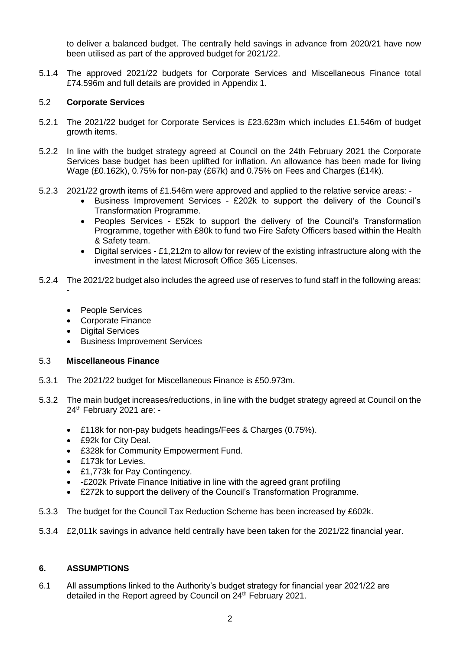to deliver a balanced budget. The centrally held savings in advance from 2020/21 have now been utilised as part of the approved budget for 2021/22.

5.1.4 The approved 2021/22 budgets for Corporate Services and Miscellaneous Finance total £74.596m and full details are provided in Appendix 1.

#### 5.2 **Corporate Services**

- 5.2.1 The 2021/22 budget for Corporate Services is £23.623m which includes £1.546m of budget growth items.
- 5.2.2 In line with the budget strategy agreed at Council on the 24th February 2021 the Corporate Services base budget has been uplifted for inflation. An allowance has been made for living Wage (£0.162k), 0.75% for non-pay (£67k) and 0.75% on Fees and Charges (£14k).
- 5.2.3 2021/22 growth items of £1.546m were approved and applied to the relative service areas:
	- Business Improvement Services £202k to support the delivery of the Council's Transformation Programme.
		- Peoples Services £52k to support the delivery of the Council's Transformation Programme, together with £80k to fund two Fire Safety Officers based within the Health & Safety team.
		- Digital services £1,212m to allow for review of the existing infrastructure along with the investment in the latest Microsoft Office 365 Licenses.
- 5.2.4 The 2021/22 budget also includes the agreed use of reserves to fund staff in the following areas:
	- People Services

-

- Corporate Finance
- Digital Services
- **•** Business Improvement Services

#### 5.3 **Miscellaneous Finance**

- 5.3.1 The 2021/22 budget for Miscellaneous Finance is £50.973m.
- 5.3.2 The main budget increases/reductions, in line with the budget strategy agreed at Council on the 24 th February 2021 are: -
	- £118k for non-pay budgets headings/Fees & Charges (0.75%).
	- £92k for City Deal.
	- £328k for Community Empowerment Fund.
	- £173k for Levies.
	- £1,773k for Pay Contingency.
	- -£202k Private Finance Initiative in line with the agreed grant profiling
	- £272k to support the delivery of the Council's Transformation Programme.
- 5.3.3 The budget for the Council Tax Reduction Scheme has been increased by £602k.
- 5.3.4 £2,011k savings in advance held centrally have been taken for the 2021/22 financial year.

## **6. ASSUMPTIONS**

6.1 All assumptions linked to the Authority's budget strategy for financial year 2021/22 are detailed in the Report agreed by Council on 24<sup>th</sup> February 2021.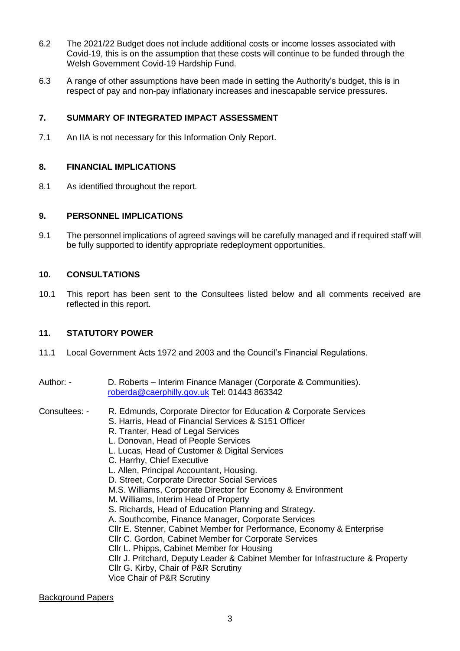- 6.2 The 2021/22 Budget does not include additional costs or income losses associated with Covid-19, this is on the assumption that these costs will continue to be funded through the Welsh Government Covid-19 Hardship Fund.
- 6.3 A range of other assumptions have been made in setting the Authority's budget, this is in respect of pay and non-pay inflationary increases and inescapable service pressures.

## **7. SUMMARY OF INTEGRATED IMPACT ASSESSMENT**

7.1 An IIA is not necessary for this Information Only Report.

# **8. FINANCIAL IMPLICATIONS**

8.1 As identified throughout the report.

#### **9. PERSONNEL IMPLICATIONS**

9.1 The personnel implications of agreed savings will be carefully managed and if required staff will be fully supported to identify appropriate redeployment opportunities.

## **10. CONSULTATIONS**

10.1 This report has been sent to the Consultees listed below and all comments received are reflected in this report.

#### **11. STATUTORY POWER**

- 11.1 Local Government Acts 1972 and 2003 and the Council's Financial Regulations.
- Author: D. Roberts Interim Finance Manager (Corporate & Communities). [roberda@caerphilly.gov.uk](mailto:roberda@caerphilly.gov.uk) Tel: 01443 863342
- Consultees: R. Edmunds, Corporate Director for Education & Corporate Services
	- S. Harris, Head of Financial Services & S151 Officer
		- R. Tranter, Head of Legal Services
		- L. Donovan, Head of People Services
		- L. Lucas, Head of Customer & Digital Services
		- C. Harrhy, Chief Executive
		- L. Allen, Principal Accountant, Housing.
		- D. Street, Corporate Director Social Services
		- M.S. Williams, Corporate Director for Economy & Environment
		- M. Williams, Interim Head of Property
		- S. Richards, Head of Education Planning and Strategy.
		- A. Southcombe, Finance Manager, Corporate Services
		- Cllr E. Stenner, Cabinet Member for Performance, Economy & Enterprise
		- Cllr C. Gordon, Cabinet Member for Corporate Services
		- Cllr L. Phipps, Cabinet Member for Housing
		- Cllr J. Pritchard, Deputy Leader & Cabinet Member for Infrastructure & Property
		- Cllr G. Kirby, Chair of P&R Scrutiny
		- Vice Chair of P&R Scrutiny

#### Background Papers